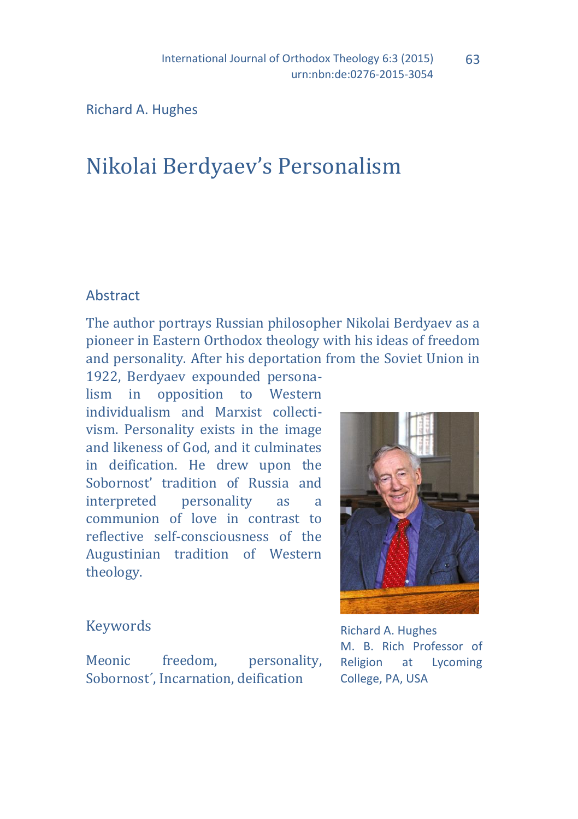Richard A. Hughes

# Nikolai Berdyaev's Personalism

#### Abstract

The author portrays Russian philosopher Nikolai Berdyaev as a pioneer in Eastern Orthodox theology with his ideas of freedom and personality. After his deportation from the Soviet Union in

1922, Berdyaev expounded personalism in opposition to Western individualism and Marxist collectivism. Personality exists in the image and likeness of God, and it culminates in deification. He drew upon the Sobornost' tradition of Russia and interpreted personality as a communion of love in contrast to reflective self-consciousness of the Augustinian tradition of Western theology.



63

## Keywords

Meonic freedom, personality, Sobornost´, Incarnation, deification

Richard A. Hughes M. B. Rich Professor of Religion at Lycoming College, PA, USA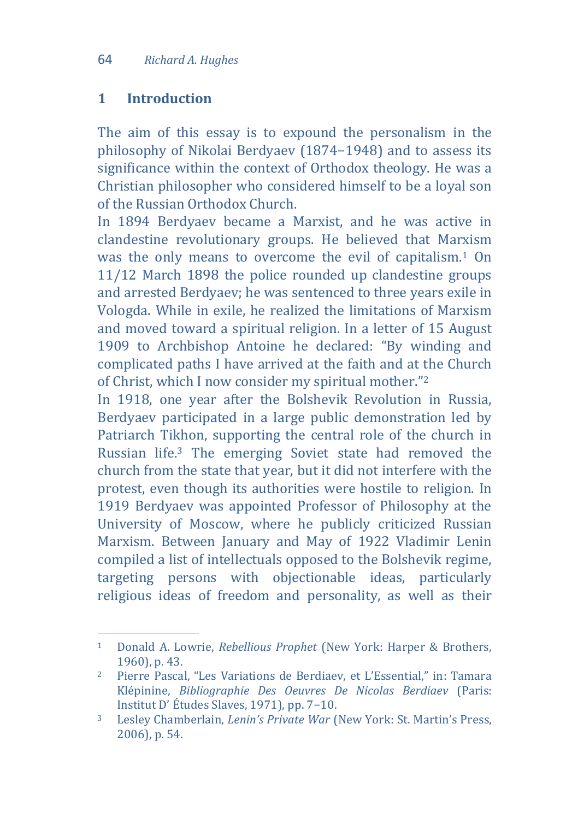#### **1 Introduction**

 $\overline{a}$ 

The aim of this essay is to expound the personalism in the philosophy of Nikolai Berdyaev (1874−1948) and to assess its significance within the context of Orthodox theology. He was a Christian philosopher who considered himself to be a loyal son of the Russian Orthodox Church.

In 1894 Berdyaev became a Marxist, and he was active in clandestine revolutionary groups. He believed that Marxism was the only means to overcome the evil of capitalism.<sup>1</sup> On 11/12 March 1898 the police rounded up clandestine groups and arrested Berdyaev; he was sentenced to three years exile in Vologda. While in exile, he realized the limitations of Marxism and moved toward a spiritual religion. In a letter of 15 August 1909 to Archbishop Antoine he declared: "By winding and complicated paths I have arrived at the faith and at the Church of Christ, which I now consider my spiritual mother."<sup>2</sup>

In 1918, one year after the Bolshevik Revolution in Russia, Berdyaev participated in a large public demonstration led by Patriarch Tikhon, supporting the central role of the church in Russian life.<sup>3</sup> The emerging Soviet state had removed the church from the state that year, but it did not interfere with the protest, even though its authorities were hostile to religion. In 1919 Berdyaev was appointed Professor of Philosophy at the University of Moscow, where he publicly criticized Russian Marxism. Between January and May of 1922 Vladimir Lenin compiled a list of intellectuals opposed to the Bolshevik regime, targeting persons with objectionable ideas, particularly religious ideas of freedom and personality, as well as their

<sup>1</sup> Donald A. Lowrie, *Rebellious Prophet* (New York: Harper & Brothers, 1960), p. 43.

<sup>2</sup> Pierre Pascal, "Les Variations de Berdiaev, et L'Essential," in: Tamara Klépinine, *Bibliographie Des Oeuvres De Nicolas Berdiaev* (Paris: Institut D' Études Slaves, 1971), pp. 7−10.

<sup>3</sup> Lesley Chamberlain, *Lenin's Private War* (New York: St. Martin's Press, 2006), p. 54.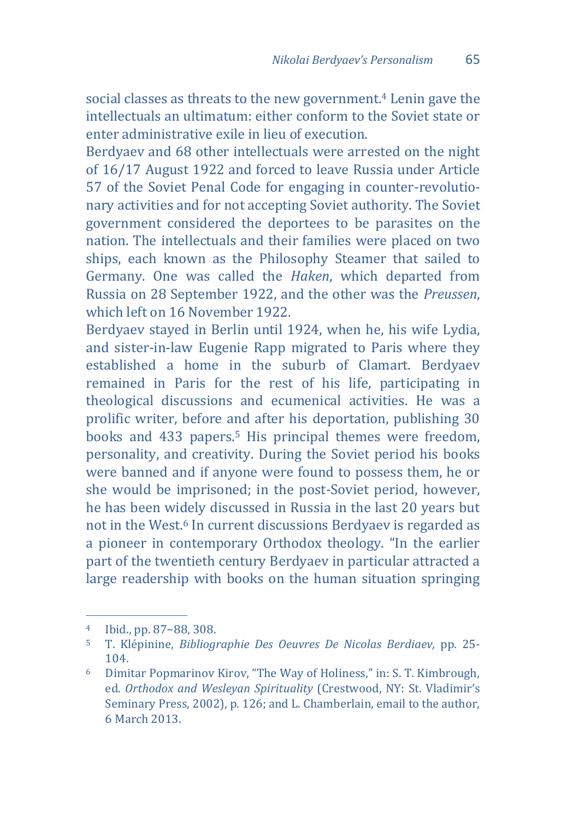social classes as threats to the new government.<sup>4</sup> Lenin gave the intellectuals an ultimatum: either conform to the Soviet state or enter administrative exile in lieu of execution.

Berdyaev and 68 other intellectuals were arrested on the night of 16/17 August 1922 and forced to leave Russia under Article 57 of the Soviet Penal Code for engaging in counter-revolutionary activities and for not accepting Soviet authority. The Soviet government considered the deportees to be parasites on the nation. The intellectuals and their families were placed on two ships, each known as the Philosophy Steamer that sailed to Germany. One was called the *Haken*, which departed from Russia on 28 September 1922, and the other was the *Preussen*, which left on 16 November 1922.

Berdyaev stayed in Berlin until 1924, when he, his wife Lydia, and sister-in-law Eugenie Rapp migrated to Paris where they established a home in the suburb of Clamart. Berdyaev remained in Paris for the rest of his life, participating in theological discussions and ecumenical activities. He was a prolific writer, before and after his deportation, publishing 30 books and 433 papers.<sup>5</sup> His principal themes were freedom, personality, and creativity. During the Soviet period his books were banned and if anyone were found to possess them, he or she would be imprisoned; in the post-Soviet period, however, he has been widely discussed in Russia in the last 20 years but not in the West.<sup>6</sup> In current discussions Berdyaev is regarded as a pioneer in contemporary Orthodox theology. "In the earlier part of the twentieth century Berdyaev in particular attracted a large readership with books on the human situation springing

<sup>4</sup> Ibid., pp. 87−88, 308.

<sup>5</sup> T. Klépinine, *Bibliographie Des Oeuvres De Nicolas Berdiaev,* pp. 25- 104.

<sup>6</sup> Dimitar Popmarinov Kirov, "The Way of Holiness," in: S. T. Kimbrough, ed. *Orthodox and Wesleyan Spirituality* (Crestwood, NY: St. Vladimir's Seminary Press, 2002), p. 126; and L. Chamberlain, email to the author, 6 March 2013.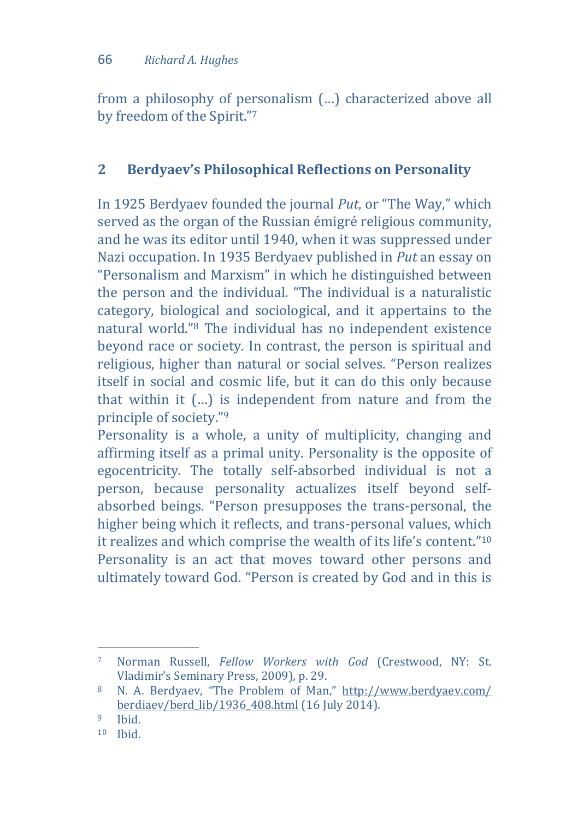from a philosophy of personalism (…) characterized above all by freedom of the Spirit."<sup>7</sup>

## **2 Berdyaev's Philosophical Reflections on Personality**

In 1925 Berdyaev founded the journal *Put*, or "The Way," which served as the organ of the Russian émigré religious community, and he was its editor until 1940, when it was suppressed under Nazi occupation. In 1935 Berdyaev published in *Put* an essay on "Personalism and Marxism" in which he distinguished between the person and the individual. "The individual is a naturalistic category, biological and sociological, and it appertains to the natural world."<sup>8</sup> The individual has no independent existence beyond race or society. In contrast, the person is spiritual and religious, higher than natural or social selves. "Person realizes itself in social and cosmic life, but it can do this only because that within it (…) is independent from nature and from the principle of society."<sup>9</sup>

Personality is a whole, a unity of multiplicity, changing and affirming itself as a primal unity. Personality is the opposite of egocentricity. The totally self-absorbed individual is not a person, because personality actualizes itself beyond selfabsorbed beings. "Person presupposes the trans-personal, the higher being which it reflects, and trans-personal values, which it realizes and which comprise the wealth of its life's content." 10 Personality is an act that moves toward other persons and ultimately toward God. "Person is created by God and in this is

<sup>7</sup> Norman Russell, *Fellow Workers with God* (Crestwood, NY: St. Vladimir's Seminary Press, 2009), p. 29.

<sup>8</sup> N. A. Berdyaev, "The Problem of Man," [http://www.berdyaev.com/](http://www.berdyaev.com/%20berdiaev/berd_lib/1936_408.html)  [berdiaev/berd\\_lib/1936\\_408.html](http://www.berdyaev.com/%20berdiaev/berd_lib/1936_408.html) (16 July 2014).

<sup>9</sup> Ibid.

<sup>10</sup> Ibid.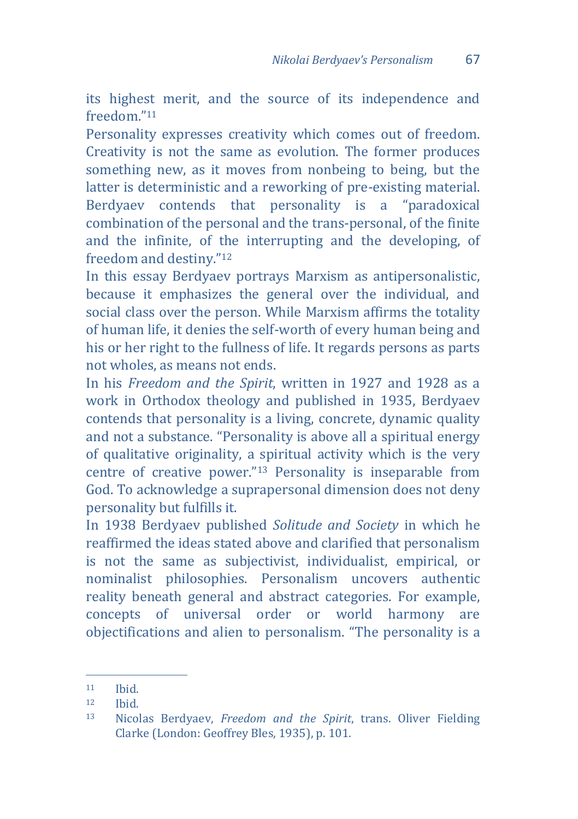its highest merit, and the source of its independence and freedom<sup>"11</sup>

Personality expresses creativity which comes out of freedom. Creativity is not the same as evolution. The former produces something new, as it moves from nonbeing to being, but the latter is deterministic and a reworking of pre-existing material. Berdyaev contends that personality is a "paradoxical combination of the personal and the trans-personal, of the finite and the infinite, of the interrupting and the developing, of freedom and destiny."<sup>12</sup>

In this essay Berdyaev portrays Marxism as antipersonalistic, because it emphasizes the general over the individual, and social class over the person. While Marxism affirms the totality of human life, it denies the self-worth of every human being and his or her right to the fullness of life. It regards persons as parts not wholes, as means not ends.

In his *Freedom and the Spirit*, written in 1927 and 1928 as a work in Orthodox theology and published in 1935, Berdyaev contends that personality is a living, concrete, dynamic quality and not a substance. "Personality is above all a spiritual energy of qualitative originality, a spiritual activity which is the very centre of creative power."<sup>13</sup> Personality is inseparable from God. To acknowledge a suprapersonal dimension does not deny personality but fulfills it.

In 1938 Berdyaev published *Solitude and Society* in which he reaffirmed the ideas stated above and clarified that personalism is not the same as subjectivist, individualist, empirical, or nominalist philosophies. Personalism uncovers authentic reality beneath general and abstract categories. For example, concepts of universal order or world harmony are objectifications and alien to personalism. "The personality is a

<sup>11</sup> Ibid.

<sup>12</sup> Ibid.

<sup>13</sup> Nicolas Berdyaev, *Freedom and the Spirit*, trans. Oliver Fielding Clarke (London: Geoffrey Bles, 1935), p. 101.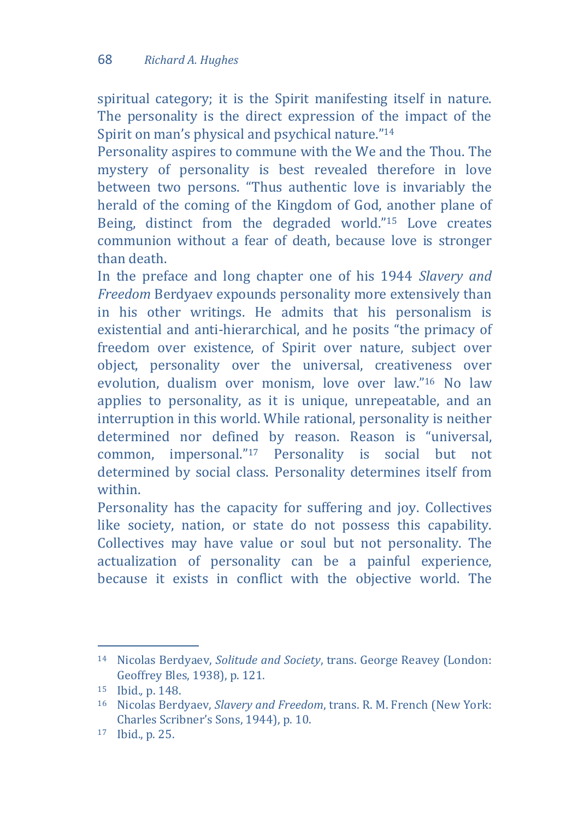spiritual category; it is the Spirit manifesting itself in nature. The personality is the direct expression of the impact of the Spirit on man's physical and psychical nature."<sup>14</sup>

Personality aspires to commune with the We and the Thou. The mystery of personality is best revealed therefore in love between two persons. "Thus authentic love is invariably the herald of the coming of the Kingdom of God, another plane of Being, distinct from the degraded world."<sup>15</sup> Love creates communion without a fear of death, because love is stronger than death.

In the preface and long chapter one of his 1944 *Slavery and Freedom* Berdyaev expounds personality more extensively than in his other writings. He admits that his personalism is existential and anti-hierarchical, and he posits "the primacy of freedom over existence, of Spirit over nature, subject over object, personality over the universal, creativeness over evolution, dualism over monism, love over law."<sup>16</sup> No law applies to personality, as it is unique, unrepeatable, and an interruption in this world. While rational, personality is neither determined nor defined by reason. Reason is "universal, common, impersonal."<sup>17</sup> Personality is social but not determined by social class. Personality determines itself from within.

Personality has the capacity for suffering and joy. Collectives like society, nation, or state do not possess this capability. Collectives may have value or soul but not personality. The actualization of personality can be a painful experience, because it exists in conflict with the objective world. The

<sup>14</sup> Nicolas Berdyaev, *Solitude and Society*, trans. George Reavey (London: Geoffrey Bles, 1938), p. 121.

<sup>15</sup> Ibid.*,* p. 148.

<sup>16</sup> Nicolas Berdyaev, *Slavery and Freedom*, trans. R. M. French (New York: Charles Scribner's Sons, 1944), p. 10.

<sup>17</sup> Ibid., p. 25.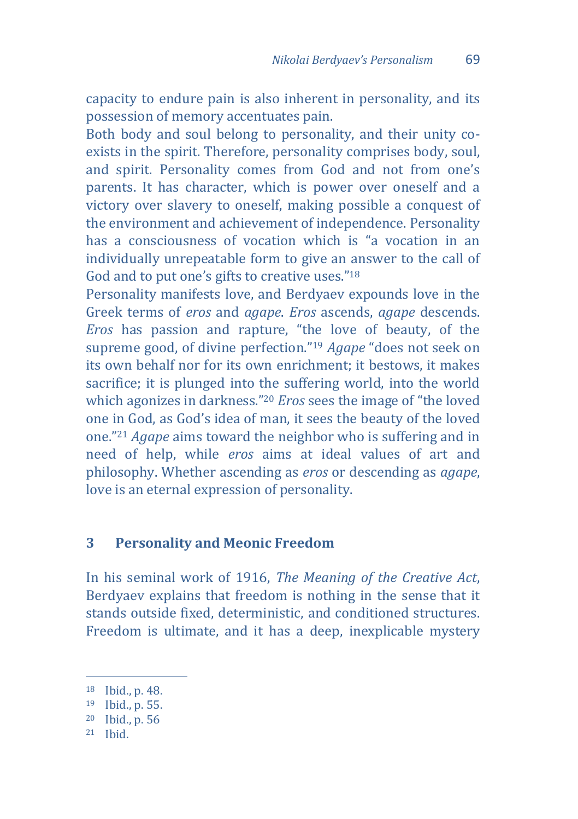capacity to endure pain is also inherent in personality, and its possession of memory accentuates pain.

Both body and soul belong to personality, and their unity coexists in the spirit. Therefore, personality comprises body, soul, and spirit. Personality comes from God and not from one's parents. It has character, which is power over oneself and a victory over slavery to oneself, making possible a conquest of the environment and achievement of independence. Personality has a consciousness of vocation which is "a vocation in an individually unrepeatable form to give an answer to the call of God and to put one's gifts to creative uses."<sup>18</sup>

Personality manifests love, and Berdyaev expounds love in the Greek terms of *eros* and *agape*. *Eros* ascends, *agape* descends. *Eros* has passion and rapture, "the love of beauty, of the supreme good, of divine perfection."<sup>19</sup> *Agape* "does not seek on its own behalf nor for its own enrichment; it bestows, it makes sacrifice; it is plunged into the suffering world, into the world which agonizes in darkness."<sup>20</sup> *Eros* sees the image of "the loved one in God, as God's idea of man, it sees the beauty of the loved one."<sup>21</sup> *Agape* aims toward the neighbor who is suffering and in need of help, while *eros* aims at ideal values of art and philosophy. Whether ascending as *eros* or descending as *agape*, love is an eternal expression of personality.

#### **3 Personality and Meonic Freedom**

In his seminal work of 1916, *The Meaning of the Creative Act*, Berdyaev explains that freedom is nothing in the sense that it stands outside fixed, deterministic, and conditioned structures. Freedom is ultimate, and it has a deep, inexplicable mystery

<sup>18</sup> Ibid., p. 48.

<sup>19</sup> Ibid., p. 55.

<sup>20</sup> Ibid., p. 56

<sup>21</sup> Ibid.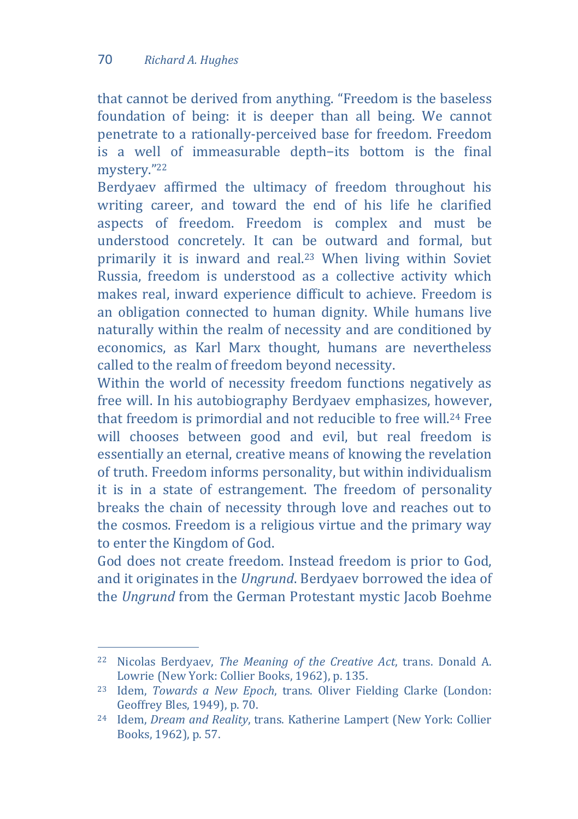$\overline{a}$ 

that cannot be derived from anything. "Freedom is the baseless foundation of being: it is deeper than all being. We cannot penetrate to a rationally-perceived base for freedom. Freedom is a well of immeasurable depth−its bottom is the final mystery."<sup>22</sup>

Berdyaev affirmed the ultimacy of freedom throughout his writing career, and toward the end of his life he clarified aspects of freedom. Freedom is complex and must be understood concretely. It can be outward and formal, but primarily it is inward and real.<sup>23</sup> When living within Soviet Russia, freedom is understood as a collective activity which makes real, inward experience difficult to achieve. Freedom is an obligation connected to human dignity. While humans live naturally within the realm of necessity and are conditioned by economics, as Karl Marx thought, humans are nevertheless called to the realm of freedom beyond necessity.

Within the world of necessity freedom functions negatively as free will. In his autobiography Berdyaev emphasizes, however, that freedom is primordial and not reducible to free will.<sup>24</sup> Free will chooses between good and evil, but real freedom is essentially an eternal, creative means of knowing the revelation of truth. Freedom informs personality, but within individualism it is in a state of estrangement. The freedom of personality breaks the chain of necessity through love and reaches out to the cosmos. Freedom is a religious virtue and the primary way to enter the Kingdom of God.

God does not create freedom. Instead freedom is prior to God, and it originates in the *Ungrund*. Berdyaev borrowed the idea of the *Ungrund* from the German Protestant mystic Jacob Boehme

<sup>22</sup> Nicolas Berdyaev, *The Meaning of the Creative Act*, trans. Donald A. Lowrie (New York: Collier Books, 1962), p. 135.

<sup>23</sup> Idem, *Towards a New Epoch*, trans. Oliver Fielding Clarke (London: Geoffrey Bles, 1949), p. 70.

<sup>24</sup> Idem, *Dream and Reality*, trans. Katherine Lampert (New York: Collier Books, 1962), p. 57.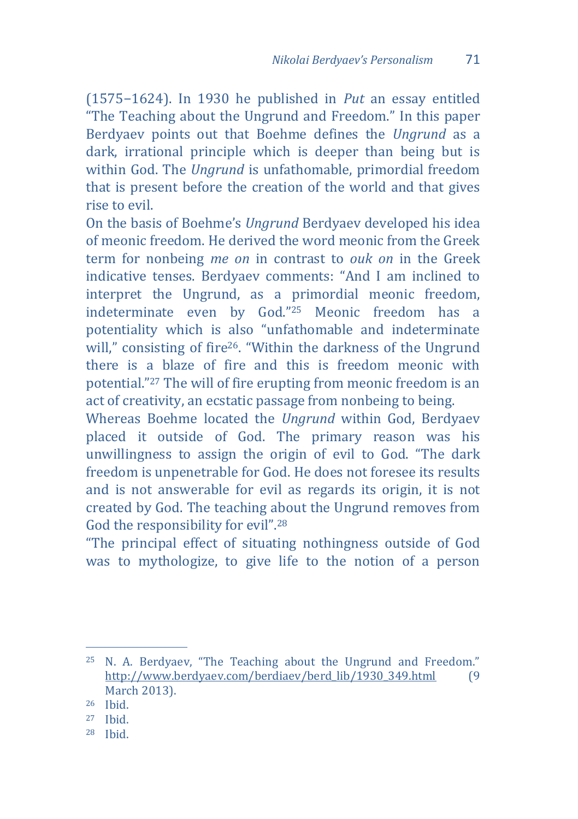(1575−1624). In 1930 he published in *Put* an essay entitled "The Teaching about the Ungrund and Freedom." In this paper Berdyaev points out that Boehme defines the *Ungrund* as a dark, irrational principle which is deeper than being but is within God. The *Ungrund* is unfathomable, primordial freedom that is present before the creation of the world and that gives rise to evil.

On the basis of Boehme's *Ungrund* Berdyaev developed his idea of meonic freedom. He derived the word meonic from the Greek term for nonbeing *me on* in contrast to *ouk on* in the Greek indicative tenses. Berdyaev comments: "And I am inclined to interpret the Ungrund, as a primordial meonic freedom, indeterminate even by God."<sup>25</sup> Meonic freedom has a potentiality which is also "unfathomable and indeterminate will," consisting of fire<sup>26</sup>. "Within the darkness of the Ungrund there is a blaze of fire and this is freedom meonic with potential."<sup>27</sup> The will of fire erupting from meonic freedom is an act of creativity, an ecstatic passage from nonbeing to being.

Whereas Boehme located the *Ungrund* within God, Berdyaev placed it outside of God. The primary reason was his unwillingness to assign the origin of evil to God. "The dark freedom is unpenetrable for God. He does not foresee its results and is not answerable for evil as regards its origin, it is not created by God. The teaching about the Ungrund removes from God the responsibility for evil". 28

"The principal effect of situating nothingness outside of God was to mythologize, to give life to the notion of a person

<sup>25</sup> N. A. Berdyaev, "The Teaching about the Ungrund and Freedom." [http://www.berdyaev.com/berdiaev/berd\\_lib/1930\\_349.html](http://www.berdyaev.com/berdiaev/berd_lib/1930_349.html) (9 March 2013).

<sup>26</sup> Ibid.

<sup>27</sup> Ibid.

<sup>28</sup> Ibid.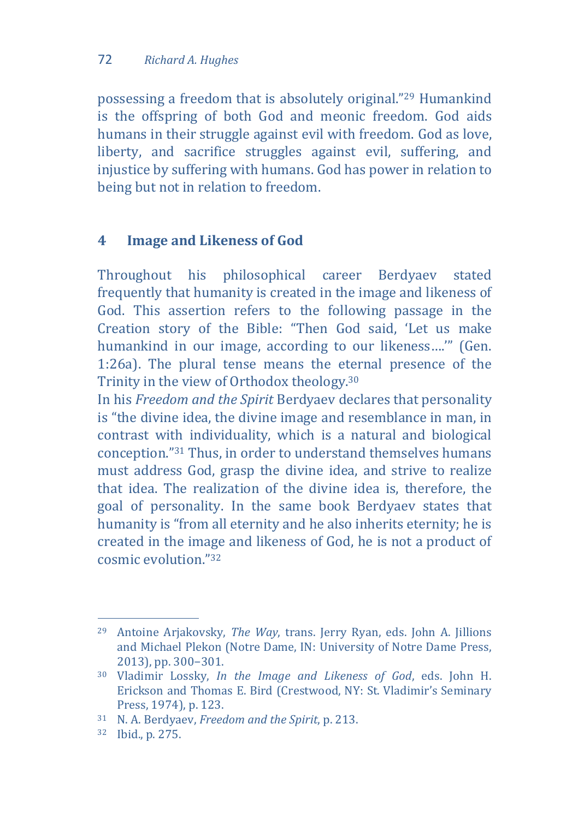possessing a freedom that is absolutely original."<sup>29</sup> Humankind is the offspring of both God and meonic freedom. God aids humans in their struggle against evil with freedom. God as love, liberty, and sacrifice struggles against evil, suffering, and injustice by suffering with humans. God has power in relation to being but not in relation to freedom.

# **4 Image and Likeness of God**

Throughout his philosophical career Berdyaev stated frequently that humanity is created in the image and likeness of God. This assertion refers to the following passage in the Creation story of the Bible: "Then God said, 'Let us make humankind in our image, according to our likeness….'" (Gen. 1:26a). The plural tense means the eternal presence of the Trinity in the view of Orthodox theology.<sup>30</sup>

In his *Freedom and the Spirit* Berdyaev declares that personality is "the divine idea, the divine image and resemblance in man, in contrast with individuality, which is a natural and biological conception."<sup>31</sup> Thus, in order to understand themselves humans must address God, grasp the divine idea, and strive to realize that idea. The realization of the divine idea is, therefore, the goal of personality. In the same book Berdyaev states that humanity is "from all eternity and he also inherits eternity; he is created in the image and likeness of God, he is not a product of cosmic evolution."<sup>32</sup>

 $\overline{a}$ <sup>29</sup> Antoine Arjakovsky, *The Way*, trans. Jerry Ryan, eds. John A. Jillions and Michael Plekon (Notre Dame, IN: University of Notre Dame Press, 2013), pp. 300−301.

<sup>30</sup> Vladimir Lossky, *In the Image and Likeness of God*, eds. John H. Erickson and Thomas E. Bird (Crestwood, NY: St. Vladimir's Seminary Press, 1974), p. 123.

<sup>31</sup> N. A. Berdyaev, *Freedom and the Spirit*, p. 213.

<sup>32</sup> Ibid., p. 275.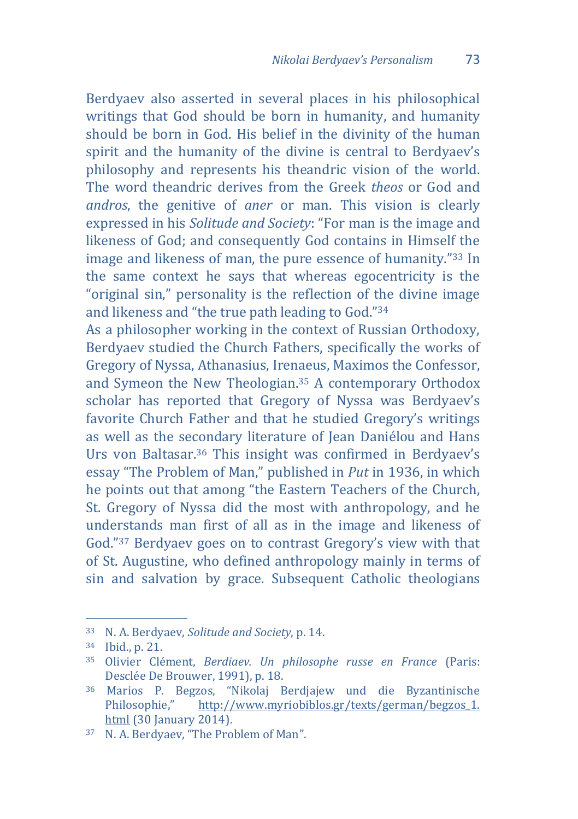Berdyaev also asserted in several places in his philosophical writings that God should be born in humanity, and humanity should be born in God. His belief in the divinity of the human spirit and the humanity of the divine is central to Berdyaev's philosophy and represents his theandric vision of the world. The word theandric derives from the Greek *theos* or God and *andros*, the genitive of *aner* or man. This vision is clearly expressed in his *Solitude and Society*: "For man is the image and likeness of God; and consequently God contains in Himself the image and likeness of man, the pure essence of humanity."<sup>33</sup> In the same context he says that whereas egocentricity is the "original sin," personality is the reflection of the divine image and likeness and "the true path leading to God."<sup>34</sup>

As a philosopher working in the context of Russian Orthodoxy, Berdyaev studied the Church Fathers, specifically the works of Gregory of Nyssa, Athanasius, Irenaeus, Maximos the Confessor, and Symeon the New Theologian.<sup>35</sup> A contemporary Orthodox scholar has reported that Gregory of Nyssa was Berdyaev's favorite Church Father and that he studied Gregory's writings as well as the secondary literature of Jean Daniélou and Hans Urs von Baltasar.<sup>36</sup> This insight was confirmed in Berdyaev's essay "The Problem of Man," published in *Put* in 1936, in which he points out that among "the Eastern Teachers of the Church, St. Gregory of Nyssa did the most with anthropology, and he understands man first of all as in the image and likeness of God."<sup>37</sup> Berdyaev goes on to contrast Gregory's view with that of St. Augustine, who defined anthropology mainly in terms of sin and salvation by grace. Subsequent Catholic theologians

<sup>33</sup> N. A. Berdyaev, *Solitude and Society*, p. 14.

<sup>34</sup> Ibid., p. 21.

<sup>35</sup> Olivier Clément, *Berdiaev. Un philosophe russe en France* (Paris: Desclée De Brouwer, 1991), p. 18.

<sup>36</sup> Marios P. Begzos, "Nikolaj Berdjajew und die Byzantinische Philosophie," [http://www.myriobiblos.gr/texts/german/begzos\\_1.](http://www.myriobiblos.gr/texts/german/begzos_1.%20html)  [html](http://www.myriobiblos.gr/texts/german/begzos_1.%20html) (30 January 2014).

<sup>37</sup> N. A. Berdyaev, "The Problem of Man".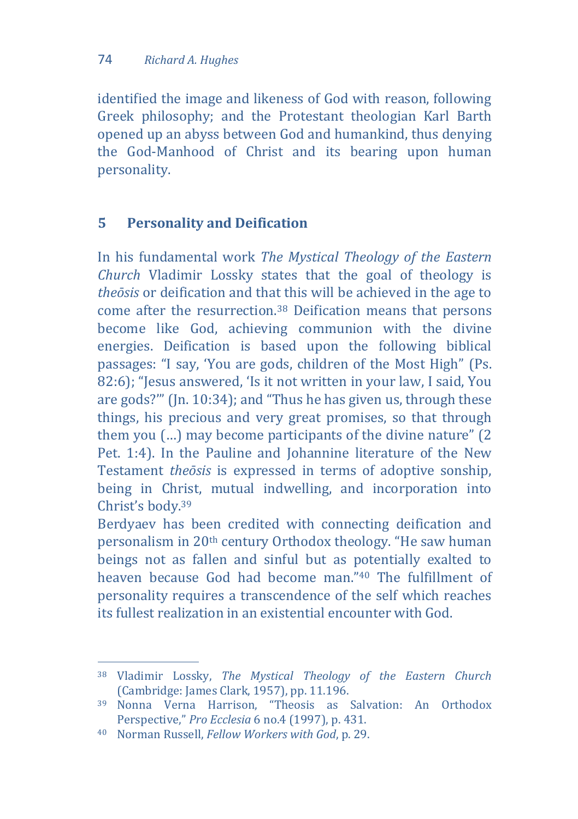identified the image and likeness of God with reason, following Greek philosophy; and the Protestant theologian Karl Barth opened up an abyss between God and humankind, thus denying the God-Manhood of Christ and its bearing upon human personality.

# **5 Personality and Deification**

In his fundamental work *The Mystical Theology of the Eastern Church* Vladimir Lossky states that the goal of theology is *theōsis* or deification and that this will be achieved in the age to come after the resurrection.<sup>38</sup> Deification means that persons become like God, achieving communion with the divine energies. Deification is based upon the following biblical passages: "I say, 'You are gods, children of the Most High" (Ps. 82:6); "Jesus answered, 'Is it not written in your law, I said, You are gods?'" (Jn. 10:34); and "Thus he has given us, through these things, his precious and very great promises, so that through them you (…) may become participants of the divine nature" (2 Pet. 1:4). In the Pauline and Johannine literature of the New Testament *theōsis* is expressed in terms of adoptive sonship, being in Christ, mutual indwelling, and incorporation into Christ's body.<sup>39</sup>

Berdyaev has been credited with connecting deification and personalism in 20th century Orthodox theology. "He saw human beings not as fallen and sinful but as potentially exalted to heaven because God had become man."<sup>40</sup> The fulfillment of personality requires a transcendence of the self which reaches its fullest realization in an existential encounter with God.

 $\overline{a}$ <sup>38</sup> Vladimir Lossky, *The Mystical Theology of the Eastern Church* (Cambridge: James Clark, 1957), pp. 11.196.

<sup>39</sup> Nonna Verna Harrison, "Theosis as Salvation: An Orthodox Perspective," *Pro Ecclesia* 6 no.4 (1997), p. 431.

<sup>40</sup> Norman Russell, *Fellow Workers with God*, p. 29.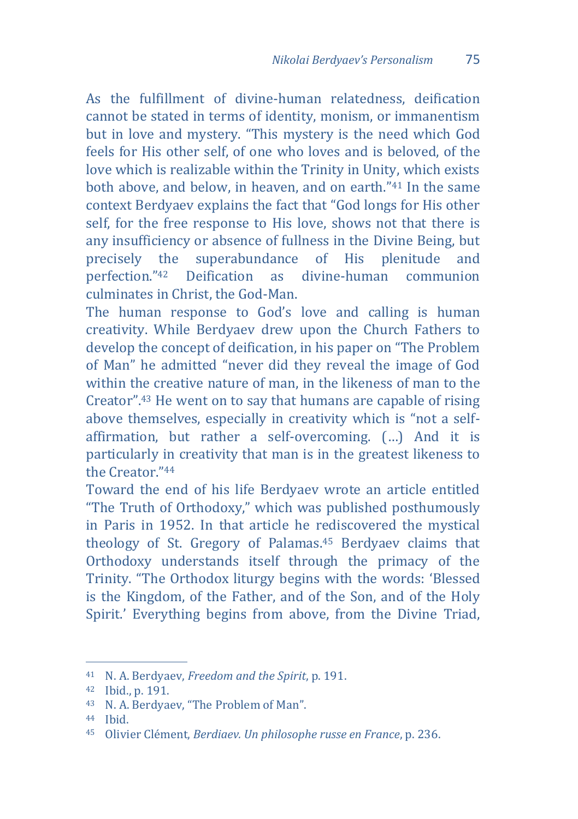As the fulfillment of divine-human relatedness, deification cannot be stated in terms of identity, monism, or immanentism but in love and mystery. "This mystery is the need which God feels for His other self, of one who loves and is beloved, of the love which is realizable within the Trinity in Unity, which exists both above, and below, in heaven, and on earth."<sup>41</sup> In the same context Berdyaev explains the fact that "God longs for His other self, for the free response to His love, shows not that there is any insufficiency or absence of fullness in the Divine Being, but precisely the superabundance of His plenitude and perfection."<sup>42</sup> Deification as divine-human communion culminates in Christ, the God-Man.

The human response to God's love and calling is human creativity. While Berdyaev drew upon the Church Fathers to develop the concept of deification, in his paper on "The Problem of Man" he admitted "never did they reveal the image of God within the creative nature of man, in the likeness of man to the Creator". <sup>43</sup> He went on to say that humans are capable of rising above themselves, especially in creativity which is "not a selfaffirmation, but rather a self-overcoming. (…) And it is particularly in creativity that man is in the greatest likeness to the Creator."<sup>44</sup>

Toward the end of his life Berdyaev wrote an article entitled "The Truth of Orthodoxy," which was published posthumously in Paris in 1952. In that article he rediscovered the mystical theology of St. Gregory of Palamas.<sup>45</sup> Berdyaev claims that Orthodoxy understands itself through the primacy of the Trinity. "The Orthodox liturgy begins with the words: 'Blessed is the Kingdom, of the Father, and of the Son, and of the Holy Spirit.' Everything begins from above, from the Divine Triad,

<sup>41</sup> N. A. Berdyaev, *Freedom and the Spirit*, p. 191.

<sup>42</sup> Ibid., p. 191.

<sup>43</sup> N. A. Berdyaev, "The Problem of Man".

<sup>44</sup> Ibid.

<sup>45</sup> Olivier Clément, *Berdiaev. Un philosophe russe en France*, p. 236.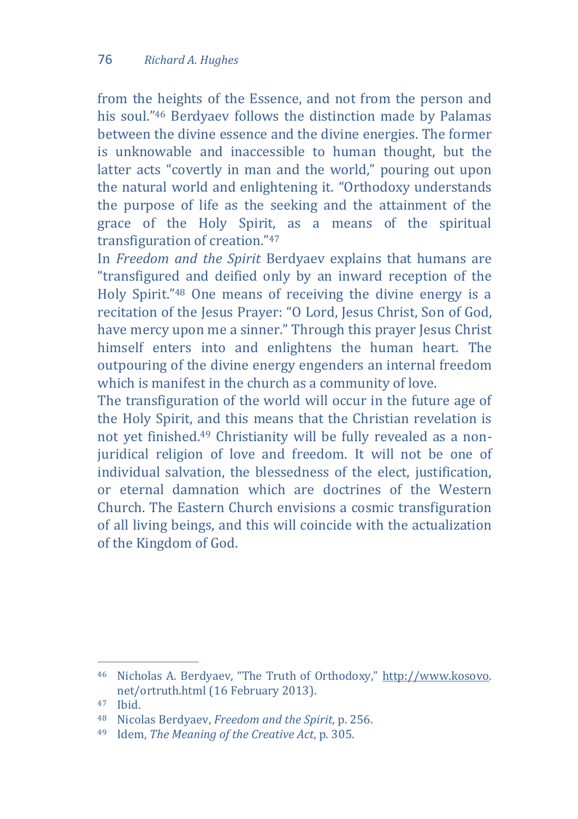from the heights of the Essence, and not from the person and his soul."<sup>46</sup> Berdyaev follows the distinction made by Palamas between the divine essence and the divine energies. The former is unknowable and inaccessible to human thought, but the latter acts "covertly in man and the world," pouring out upon the natural world and enlightening it. "Orthodoxy understands the purpose of life as the seeking and the attainment of the grace of the Holy Spirit, as a means of the spiritual transfiguration of creation."<sup>47</sup>

In *Freedom and the Spirit* Berdyaev explains that humans are "transfigured and deified only by an inward reception of the Holy Spirit."<sup>48</sup> One means of receiving the divine energy is a recitation of the Jesus Prayer: "O Lord, Jesus Christ, Son of God, have mercy upon me a sinner." Through this prayer Jesus Christ himself enters into and enlightens the human heart. The outpouring of the divine energy engenders an internal freedom which is manifest in the church as a community of love.

The transfiguration of the world will occur in the future age of the Holy Spirit, and this means that the Christian revelation is not yet finished.<sup>49</sup> Christianity will be fully revealed as a nonjuridical religion of love and freedom. It will not be one of individual salvation, the blessedness of the elect, justification, or eternal damnation which are doctrines of the Western Church. The Eastern Church envisions a cosmic transfiguration of all living beings, and this will coincide with the actualization of the Kingdom of God.

<sup>46</sup> Nicholas A. Berdyaev, "The Truth of Orthodoxy," [http://www.kosovo.](http://www.kosovo/)  net/ortruth.html (16 February 2013).

<sup>47</sup> Ibid.

<sup>48</sup> Nicolas Berdyaev, *Freedom and the Spirit*, p. 256.

<sup>49</sup> Idem, *The Meaning of the Creative Act*, p. 305.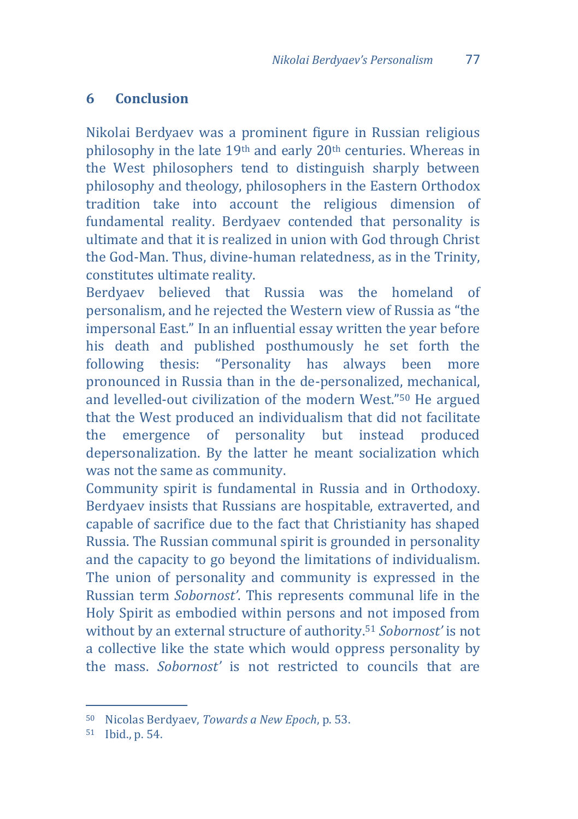#### **6 Conclusion**

Nikolai Berdyaev was a prominent figure in Russian religious philosophy in the late 19th and early 20th centuries. Whereas in the West philosophers tend to distinguish sharply between philosophy and theology, philosophers in the Eastern Orthodox tradition take into account the religious dimension of fundamental reality. Berdyaev contended that personality is ultimate and that it is realized in union with God through Christ the God-Man. Thus, divine-human relatedness, as in the Trinity, constitutes ultimate reality.

Berdyaev believed that Russia was the homeland of personalism, and he rejected the Western view of Russia as "the impersonal East." In an influential essay written the year before his death and published posthumously he set forth the following thesis: "Personality has always been more pronounced in Russia than in the de-personalized, mechanical, and levelled-out civilization of the modern West."<sup>50</sup> He argued that the West produced an individualism that did not facilitate the emergence of personality but instead produced depersonalization. By the latter he meant socialization which was not the same as community.

Community spirit is fundamental in Russia and in Orthodoxy. Berdyaev insists that Russians are hospitable, extraverted, and capable of sacrifice due to the fact that Christianity has shaped Russia. The Russian communal spirit is grounded in personality and the capacity to go beyond the limitations of individualism. The union of personality and community is expressed in the Russian term *Sobornost'*. This represents communal life in the Holy Spirit as embodied within persons and not imposed from without by an external structure of authority.<sup>51</sup> *Sobornost'* is not a collective like the state which would oppress personality by the mass. *Sobornost'* is not restricted to councils that are

<sup>50</sup> Nicolas Berdyaev, *Towards a New Epoch*, p. 53.

<sup>51</sup> Ibid., p. 54.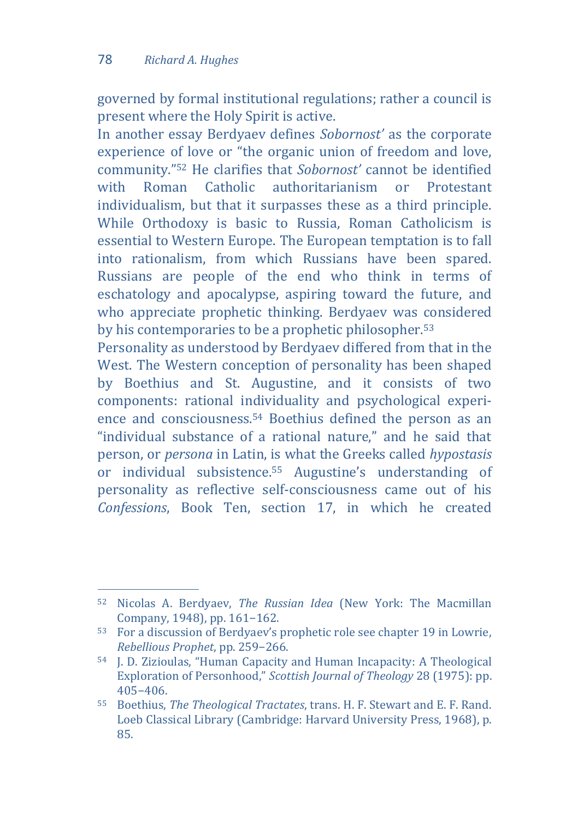$\overline{a}$ 

governed by formal institutional regulations; rather a council is present where the Holy Spirit is active.

In another essay Berdyaev defines *Sobornost'* as the corporate experience of love or "the organic union of freedom and love, community."<sup>52</sup> He clarifies that *Sobornost'* cannot be identified with Roman Catholic authoritarianism or Protestant individualism, but that it surpasses these as a third principle. While Orthodoxy is basic to Russia, Roman Catholicism is essential to Western Europe. The European temptation is to fall into rationalism, from which Russians have been spared. Russians are people of the end who think in terms of eschatology and apocalypse, aspiring toward the future, and who appreciate prophetic thinking. Berdyaev was considered by his contemporaries to be a prophetic philosopher.<sup>53</sup>

Personality as understood by Berdyaev differed from that in the West. The Western conception of personality has been shaped by Boethius and St. Augustine, and it consists of two components: rational individuality and psychological experience and consciousness.<sup>54</sup> Boethius defined the person as an "individual substance of a rational nature," and he said that person, or *persona* in Latin, is what the Greeks called *hypostasis* or individual subsistence.<sup>55</sup> Augustine's understanding of personality as reflective self-consciousness came out of his *Confessions*, Book Ten, section 17, in which he created

<sup>52</sup> Nicolas A. Berdyaev, *The Russian Idea* (New York: The Macmillan Company, 1948), pp. 161−162.

<sup>53</sup> For a discussion of Berdyaev's prophetic role see chapter 19 in Lowrie, *Rebellious Prophet*, pp. 259−266.

<sup>54</sup> J. D. Zizioulas, "Human Capacity and Human Incapacity: A Theological Exploration of Personhood," *Scottish Journal of Theology* 28 (1975): pp. 405−406.

<sup>55</sup> Boethius, *The Theological Tractates*, trans. H. F. Stewart and E. F. Rand. Loeb Classical Library (Cambridge: Harvard University Press, 1968), p. 85.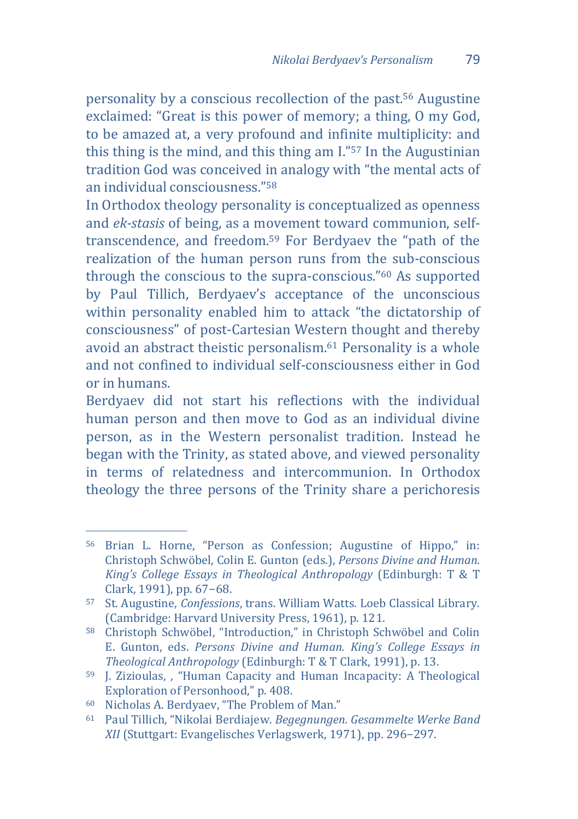personality by a conscious recollection of the past.<sup>56</sup> Augustine exclaimed: "Great is this power of memory; a thing, O my God, to be amazed at, a very profound and infinite multiplicity: and this thing is the mind, and this thing am I."<sup>57</sup> In the Augustinian tradition God was conceived in analogy with "the mental acts of an individual consciousness."<sup>58</sup>

In Orthodox theology personality is conceptualized as openness and *ek-stasis* of being, as a movement toward communion, selftranscendence, and freedom.<sup>59</sup> For Berdyaev the "path of the realization of the human person runs from the sub-conscious through the conscious to the supra-conscious."<sup>60</sup> As supported by Paul Tillich, Berdyaev's acceptance of the unconscious within personality enabled him to attack "the dictatorship of consciousness" of post-Cartesian Western thought and thereby avoid an abstract theistic personalism.<sup>61</sup> Personality is a whole and not confined to individual self-consciousness either in God or in humans.

Berdyaev did not start his reflections with the individual human person and then move to God as an individual divine person, as in the Western personalist tradition. Instead he began with the Trinity, as stated above, and viewed personality in terms of relatedness and intercommunion. In Orthodox theology the three persons of the Trinity share a perichoresis

<sup>56</sup> Brian L. Horne, "Person as Confession; Augustine of Hippo," in: Christoph Schwöbel, Colin E. Gunton (eds.), *Persons Divine and Human. King's College Essays in Theological Anthropology* (Edinburgh: T & T Clark, 1991), pp. 67−68.

<sup>57</sup> St. Augustine, *Confessions*, trans. William Watts. Loeb Classical Library. (Cambridge: Harvard University Press, 1961), p. 121.

<sup>58</sup> Christoph Schwöbel, "Introduction," in Christoph Schwöbel and Colin E. Gunton, eds. *Persons Divine and Human. King's College Essays in Theological Anthropology* (Edinburgh: T & T Clark, 1991), p. 13.

<sup>59</sup> J. Zizioulas, , "Human Capacity and Human Incapacity: A Theological Exploration of Personhood," p. 408.

<sup>60</sup> Nicholas A. Berdyaev, "The Problem of Man."

<sup>61</sup> Paul Tillich, "Nikolai Berdiajew. *Begegnungen. Gesammelte Werke Band XII* (Stuttgart: Evangelisches Verlagswerk, 1971), pp. 296−297.